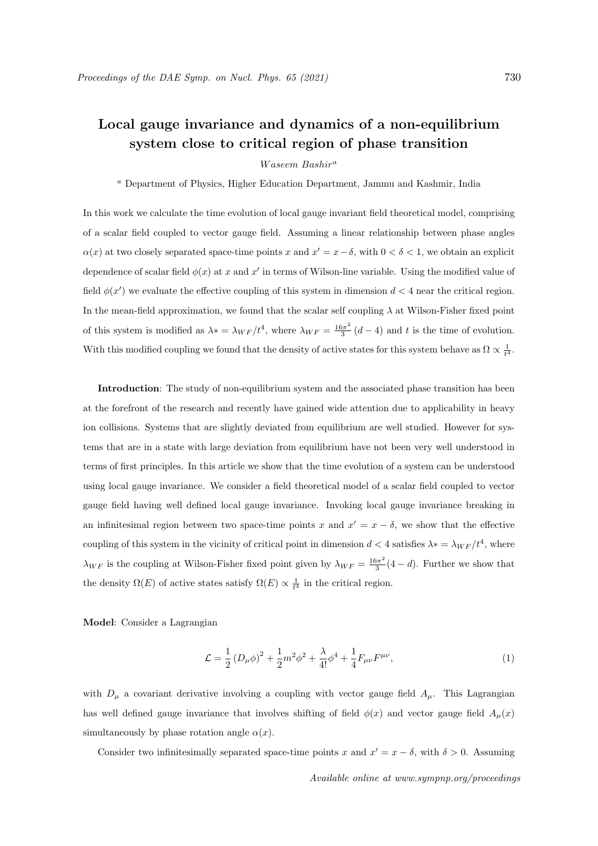## Local gauge invariance and dynamics of a non-equilibrium system close to critical region of phase transition

Waseem Bashir<sup>a</sup>

<sup>a</sup> Department of Physics, Higher Education Department, Jammu and Kashmir, India

In this work we calculate the time evolution of local gauge invariant field theoretical model, comprising of a scalar field coupled to vector gauge field. Assuming a linear relationship between phase angles  $\alpha(x)$  at two closely separated space-time points x and  $x' = x - \delta$ , with  $0 < \delta < 1$ , we obtain an explicit dependence of scalar field  $\phi(x)$  at x and x' in terms of Wilson-line variable. Using the modified value of field  $\phi(x')$  we evaluate the effective coupling of this system in dimension  $d < 4$  near the critical region. In the mean-field approximation, we found that the scalar self coupling  $\lambda$  at Wilson-Fisher fixed point of this system is modified as  $\lambda^* = \lambda_{WF}/t^4$ , where  $\lambda_{WF} = \frac{16\pi^2}{3}$  $\frac{3\pi^2}{3}(d-4)$  and t is the time of evolution. With this modified coupling we found that the density of active states for this system behave as  $\Omega \propto \frac{1}{t^4}$ .

Introduction: The study of non-equilibrium system and the associated phase transition has been at the forefront of the research and recently have gained wide attention due to applicability in heavy ion collisions. Systems that are slightly deviated from equilibrium are well studied. However for systems that are in a state with large deviation from equilibrium have not been very well understood in terms of first principles. In this article we show that the time evolution of a system can be understood using local gauge invariance. We consider a field theoretical model of a scalar field coupled to vector gauge field having well defined local gauge invariance. Invoking local gauge invariance breaking in an infinitesimal region between two space-time points x and  $x' = x - \delta$ , we show that the effective coupling of this system in the vicinity of critical point in dimension  $d < 4$  satisfies  $\lambda * = \lambda_{WF}/t^4$ , where  $\lambda_{WF}$  is the coupling at Wilson-Fisher fixed point given by  $\lambda_{WF} = \frac{16\pi^2}{3}$  $\frac{3\pi^2}{3}(4-d)$ . Further we show that the density  $\Omega(E)$  of active states satisfy  $\Omega(E) \propto \frac{1}{t^4}$  in the critical region.

Model: Consider a Lagrangian

$$
\mathcal{L} = \frac{1}{2} \left( D_{\mu} \phi \right)^2 + \frac{1}{2} m^2 \phi^2 + \frac{\lambda}{4!} \phi^4 + \frac{1}{4} F_{\mu \nu} F^{\mu \nu}, \tag{1}
$$

with  $D_{\mu}$  a covariant derivative involving a coupling with vector gauge field  $A_{\mu}$ . This Lagrangian has well defined gauge invariance that involves shifting of field  $\phi(x)$  and vector gauge field  $A_\mu(x)$ simultaneously by phase rotation angle  $\alpha(x)$ .

Consider two infinitesimally separated space-time points x and  $x' = x - \delta$ , with  $\delta > 0$ . Assuming

Available online at www.sympnp.org/proceedings